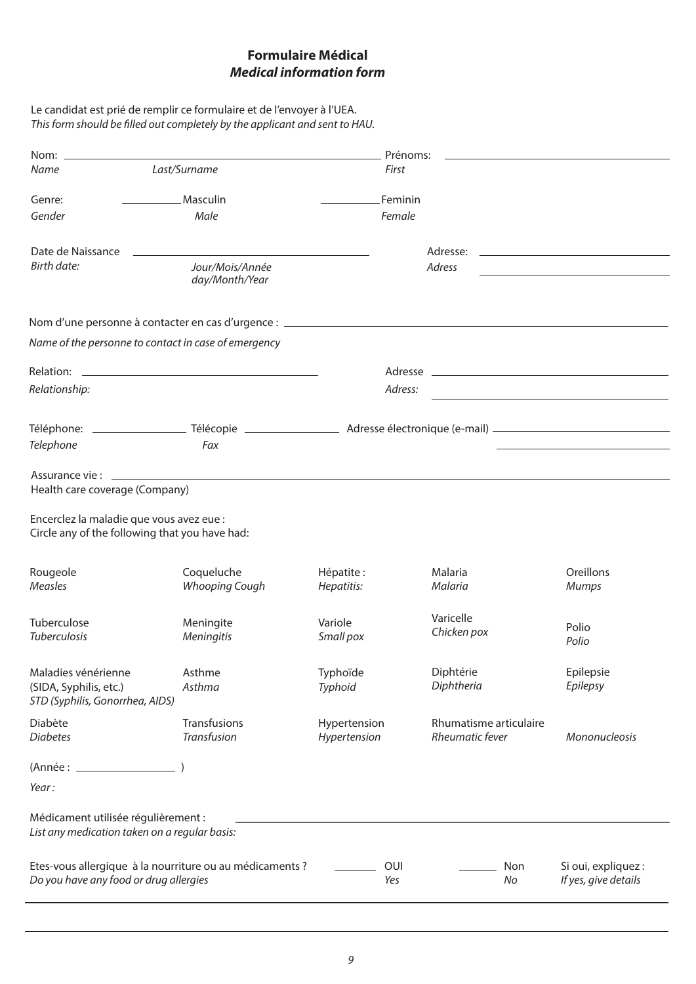## **Formulaire Médical** *Medical information form*

| Le candidat est prié de remplir ce formulaire et de l'envoyer à l'UEA.      |
|-----------------------------------------------------------------------------|
| This form should be filled out completely by the applicant and sent to HAU. |

| Nom: $\equiv$                                                                        |                       | Prénoms:     |                          |                                                                                                                                                                                                                                      |  |  |
|--------------------------------------------------------------------------------------|-----------------------|--------------|--------------------------|--------------------------------------------------------------------------------------------------------------------------------------------------------------------------------------------------------------------------------------|--|--|
| Name                                                                                 | Last/Surname          | First        |                          |                                                                                                                                                                                                                                      |  |  |
| Genre:                                                                               | Masculin              | Feminin      |                          |                                                                                                                                                                                                                                      |  |  |
| Gender                                                                               | Male                  | Female       |                          |                                                                                                                                                                                                                                      |  |  |
|                                                                                      |                       |              |                          |                                                                                                                                                                                                                                      |  |  |
| Date de Naissance                                                                    |                       |              | Adresse:                 | <u>and the state of the state of the state of the state of the state of the state of the state of the state of the state of the state of the state of the state of the state of the state of the state of the state of the state</u> |  |  |
| <b>Birth date:</b>                                                                   | Jour/Mois/Année       | Adress       |                          |                                                                                                                                                                                                                                      |  |  |
|                                                                                      | day/Month/Year        |              |                          |                                                                                                                                                                                                                                      |  |  |
|                                                                                      |                       |              |                          |                                                                                                                                                                                                                                      |  |  |
| Name of the personne to contact in case of emergency                                 |                       |              |                          |                                                                                                                                                                                                                                      |  |  |
|                                                                                      |                       |              |                          |                                                                                                                                                                                                                                      |  |  |
|                                                                                      |                       |              |                          |                                                                                                                                                                                                                                      |  |  |
| Relationship:                                                                        |                       | Adress:      |                          |                                                                                                                                                                                                                                      |  |  |
|                                                                                      |                       |              |                          |                                                                                                                                                                                                                                      |  |  |
| Telephone                                                                            | Fax                   |              |                          |                                                                                                                                                                                                                                      |  |  |
|                                                                                      |                       |              |                          |                                                                                                                                                                                                                                      |  |  |
| Assurance vie : ___________                                                          |                       |              |                          |                                                                                                                                                                                                                                      |  |  |
| Health care coverage (Company)                                                       |                       |              |                          |                                                                                                                                                                                                                                      |  |  |
| Encerclez la maladie que vous avez eue :                                             |                       |              |                          |                                                                                                                                                                                                                                      |  |  |
| Circle any of the following that you have had:                                       |                       |              |                          |                                                                                                                                                                                                                                      |  |  |
|                                                                                      |                       |              |                          |                                                                                                                                                                                                                                      |  |  |
| Rougeole                                                                             | Coqueluche            | Hépatite:    | Malaria                  | Oreillons                                                                                                                                                                                                                            |  |  |
| Measles                                                                              | <b>Whooping Cough</b> | Hepatitis:   | Malaria                  | <b>Mumps</b>                                                                                                                                                                                                                         |  |  |
|                                                                                      |                       |              |                          |                                                                                                                                                                                                                                      |  |  |
| Tuberculose                                                                          | Meningite             | Variole      | Varicelle<br>Chicken pox | Polio                                                                                                                                                                                                                                |  |  |
| <b>Tuberculosis</b>                                                                  | Meningitis            | Small pox    |                          | Polio                                                                                                                                                                                                                                |  |  |
| Maladies vénérienne                                                                  | Asthme                | Typhoïde     | Diphtérie                | Epilepsie                                                                                                                                                                                                                            |  |  |
| (SIDA, Syphilis, etc.)                                                               | Asthma                | Typhoid      | Diphtheria               | Epilepsy                                                                                                                                                                                                                             |  |  |
| STD (Syphilis, Gonorrhea, AIDS)                                                      |                       |              |                          |                                                                                                                                                                                                                                      |  |  |
| Diabète                                                                              | Transfusions          | Hypertension | Rhumatisme articulaire   |                                                                                                                                                                                                                                      |  |  |
| <b>Diabetes</b>                                                                      | Transfusion           | Hypertension | Rheumatic fever          | Mononucleosis                                                                                                                                                                                                                        |  |  |
| (Année : _________________                                                           |                       |              |                          |                                                                                                                                                                                                                                      |  |  |
| Year:                                                                                |                       |              |                          |                                                                                                                                                                                                                                      |  |  |
|                                                                                      |                       |              |                          |                                                                                                                                                                                                                                      |  |  |
| Médicament utilisée régulièrement :<br>List any medication taken on a regular basis: |                       |              |                          |                                                                                                                                                                                                                                      |  |  |
|                                                                                      |                       |              |                          |                                                                                                                                                                                                                                      |  |  |
| Etes-vous allergique à la nourriture ou au médicaments ?                             |                       | OUI          | Non                      | Si oui, expliquez :                                                                                                                                                                                                                  |  |  |
| Do you have any food or drug allergies                                               |                       | Yes          | No                       | If yes, give details                                                                                                                                                                                                                 |  |  |
|                                                                                      |                       |              |                          |                                                                                                                                                                                                                                      |  |  |